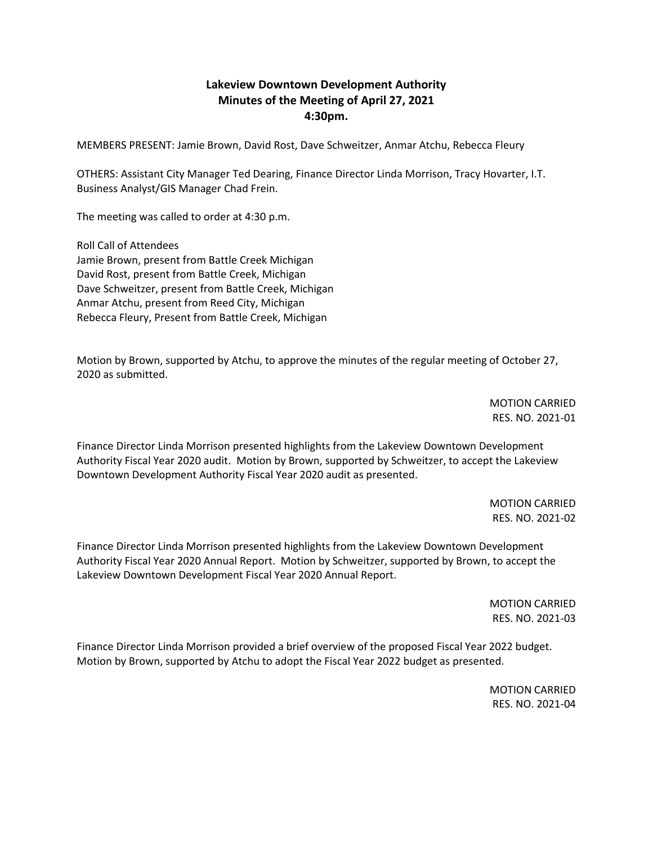## **Lakeview Downtown Development Authority Minutes of the Meeting of April 27, 2021 4:30pm.**

MEMBERS PRESENT: Jamie Brown, David Rost, Dave Schweitzer, Anmar Atchu, Rebecca Fleury

OTHERS: Assistant City Manager Ted Dearing, Finance Director Linda Morrison, Tracy Hovarter, I.T. Business Analyst/GIS Manager Chad Frein.

The meeting was called to order at 4:30 p.m.

Roll Call of Attendees Jamie Brown, present from Battle Creek Michigan David Rost, present from Battle Creek, Michigan Dave Schweitzer, present from Battle Creek, Michigan Anmar Atchu, present from Reed City, Michigan Rebecca Fleury, Present from Battle Creek, Michigan

Motion by Brown, supported by Atchu, to approve the minutes of the regular meeting of October 27, 2020 as submitted.

> MOTION CARRIED RES. NO. 2021-01

Finance Director Linda Morrison presented highlights from the Lakeview Downtown Development Authority Fiscal Year 2020 audit. Motion by Brown, supported by Schweitzer, to accept the Lakeview Downtown Development Authority Fiscal Year 2020 audit as presented.

> MOTION CARRIED RES. NO. 2021-02

Finance Director Linda Morrison presented highlights from the Lakeview Downtown Development Authority Fiscal Year 2020 Annual Report. Motion by Schweitzer, supported by Brown, to accept the Lakeview Downtown Development Fiscal Year 2020 Annual Report.

> MOTION CARRIED RES. NO. 2021-03

Finance Director Linda Morrison provided a brief overview of the proposed Fiscal Year 2022 budget. Motion by Brown, supported by Atchu to adopt the Fiscal Year 2022 budget as presented.

> MOTION CARRIED RES. NO. 2021-04